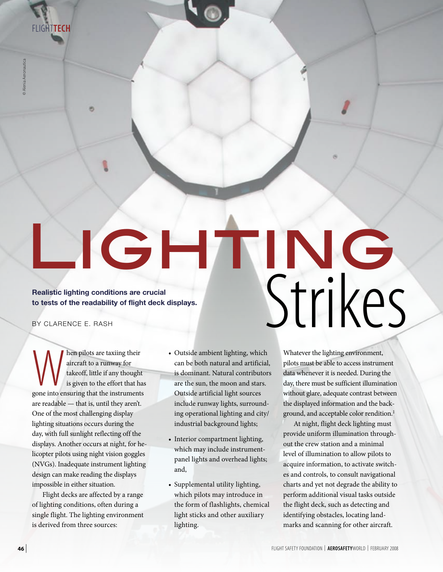Flight**TEch**

© Alenia Aeronautica © Alenia Aeronautica

# LIGHTING Realistic lighting conditions are crucial to tests of the readability of flight deck displays.<br>BY CLARENCE E. RASH **to tests of the readability of flight deck displays.** BY CLARENCE E. RASH

When pilots are taxiing their<br>
aircraft to a runway for<br>
takeoff, little if any thought<br>
is given to the effort that has<br>
gone into ensuring that the instruments aircraft to a runway for takeoff, little if any thought is given to the effort that has are readable — that is, until they aren't. One of the most challenging display lighting situations occurs during the day, with full sunlight reflecting off the displays. Another occurs at night, for helicopter pilots using night vision goggles (NVGs). Inadequate instrument lighting design can make reading the displays impossible in either situation.

Flight decks are affected by a range of lighting conditions, often during a single flight. The lighting environment is derived from three sources:

- Outside ambient lighting, which can be both natural and artificial, is dominant. Natural contributors are the sun, the moon and stars. Outside artificial light sources include runway lights, surrounding operational lighting and city/ industrial background lights;
- Interior compartment lighting, which may include instrumentpanel lights and overhead lights; and,
- Supplemental utility lighting, which pilots may introduce in the form of flashlights, chemical light sticks and other auxiliary lighting.

Whatever the lighting environment, pilots must be able to access instrument data whenever it is needed. During the day, there must be sufficient illumination without glare, adequate contrast between the displayed information and the background, and acceptable color rendition.<sup>1</sup>

At night, flight deck lighting must provide uniform illumination throughout the crew station and a minimal level of illumination to allow pilots to acquire information, to activate switches and controls, to consult navigational charts and yet not degrade the ability to perform additional visual tasks outside the flight deck, such as detecting and identifying obstacles, locating landmarks and scanning for other aircraft.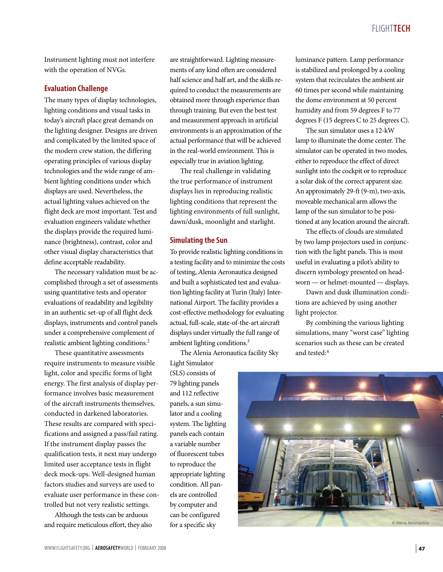## Flight**tech**

Instrument lighting must not interfere with the operation of NVGs.

## **Evaluation Challenge**

The many types of display technologies, lighting conditions and visual tasks in today's aircraft place great demands on the lighting designer. Designs are driven and complicated by the limited space of the modern crew station, the differing operating principles of various display technologies and the wide range of ambient lighting conditions under which displays are used. Nevertheless, the actual lighting values achieved on the flight deck are most important. Test and evaluation engineers validate whether the displays provide the required luminance (brightness), contrast, color and other visual display characteristics that define acceptable readability.

The necessary validation must be accomplished through a set of assessments using quantitative tests and operator evaluations of readability and legibility in an authentic set-up of all flight deck displays, instruments and control panels under a comprehensive complement of realistic ambient lighting conditions.2

These quantitative assessments require instruments to measure visible light, color and specific forms of light energy. The first analysis of display performance involves basic measurement of the aircraft instruments themselves, conducted in darkened laboratories. These results are compared with specifications and assigned a pass/fail rating. If the instrument display passes the qualification tests, it next may undergo limited user acceptance tests in flight deck mock-ups. Well-designed human factors studies and surveys are used to evaluate user performance in these controlled but not very realistic settings.

Although the tests can be arduous and require meticulous effort, they also are straightforward. Lighting measurements of any kind often are considered half science and half art, and the skills required to conduct the measurements are obtained more through experience than through training. But even the best test and measurement approach in artificial environments is an approximation of the actual performance that will be achieved in the real-world environment. This is especially true in aviation lighting.

The real challenge in validating the true performance of instrument displays lies in reproducing realistic lighting conditions that represent the lighting environments of full sunlight, dawn/dusk, moonlight and starlight.

#### **Simulating the Sun**

To provide realistic lighting conditions in a testing facility and to minimize the costs of testing, Alenia Aeronautica designed and built a sophisticated test and evaluation lighting facility at Turin (Italy) International Airport. The facility provides a cost-effective methodology for evaluating actual, full-scale, state-of-the-art aircraft displays under virtually the full range of ambient lighting conditions.3

The Alenia Aeronautica facility Sky

Light Simulator (SLS) consists of 79 lighting panels and 112 reflective panels, a sun simulator and a cooling system. The lighting panels each contain a variable number of fluorescent tubes to reproduce the appropriate lighting condition. All panels are controlled by computer and can be configured for a specific sky

luminance pattern. Lamp performance is stabilized and prolonged by a cooling system that recirculates the ambient air 60 times per second while maintaining the dome environment at 50 percent humidity and from 59 degrees F to 77 degrees F (15 degrees C to 25 degrees C).

The sun simulator uses a 12-kW lamp to illuminate the dome center. The simulator can be operated in two modes, either to reproduce the effect of direct sunlight into the cockpit or to reproduce a solar disk of the correct apparent size. An approximately 29-ft (9-m), two-axis, moveable mechanical arm allows the lamp of the sun simulator to be positioned at any location around the aircraft.

The effects of clouds are simulated by two lamp projectors used in conjunction with the light panels. This is most useful in evaluating a pilot's ability to discern symbology presented on headworn — or helmet-mounted — displays.

Dawn and dusk illumination conditions are achieved by using another light projector.

By combining the various lighting simulations, many "worst case" lighting scenarios such as these can be created and tested:4